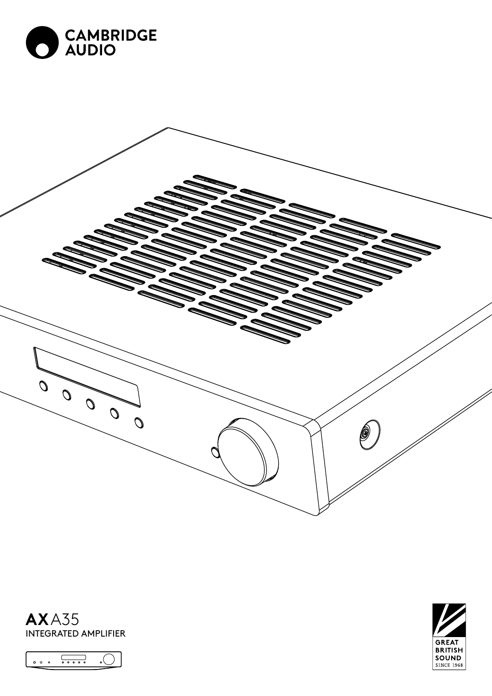







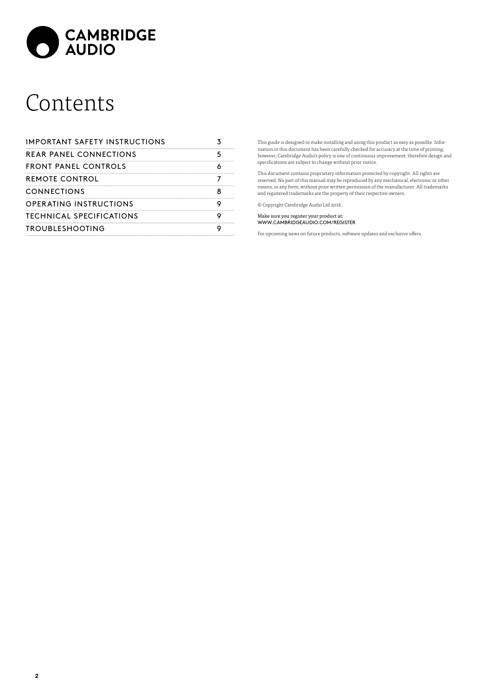

## Contents

| <b>IMPORTANT SAFETY INSTRUCTIONS</b> |  |
|--------------------------------------|--|
| <b>REAR PANEL CONNECTIONS</b>        |  |
| FRONT PANEL CONTROLS                 |  |
| REMOTE CONTROL                       |  |
| CONNECTIONS                          |  |
| OPERATING INSTRUCTIONS               |  |
| TECHNICAL SPECIFICATIONS             |  |
| <b>TROUBLESHOOTING</b>               |  |

This guide is designed to make installing and using this product as easy as possible. Infor-mation in this document has been carefully checked for accuracy at the time of printing; however, Cambridge Audio's policy is one of continuous improvement, therefore design and specifications are subject to change without prior notice.

This document contains proprietary information protected by copyright. All rights are reserved. No part of this manual may be reproduced by any mechanical, electronic or other<br>means, in any form, without prior written permission of the manufacturer. All trademarks<br>and registered trademarks are the property

© Copyright Cambridge Audio Ltd 2018..

Make sure you register your product at: WWW.CAMBRIDGEAUDIO.COM/REGISTER

For upcoming news on future products, software updates and exclusive offers.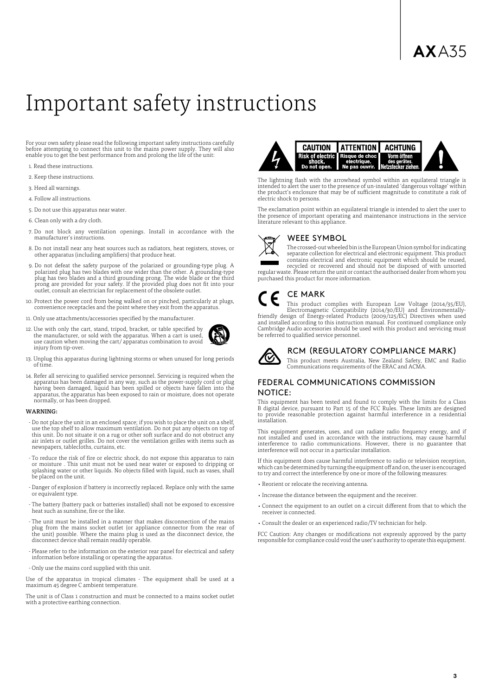### <span id="page-2-0"></span>Important safety instructions

For your own safety please read the following important safety instructions carefully before attempting to connect this unit to the mains power supply. They will also enable you to get the best performance from and prolong the life of the unit:

- 1. Read these instructions.
- 2. Keep these instructions.
- 3. Heed all warnings.
- 4. Follow all instructions.
- 5. Do not use this apparatus near water.
- 6. Clean only with a dry cloth.
- 7. Do not block any ventilation openings. Install in accordance with the manufacturer's instructions.
- 8. Do not install near any heat sources such as radiators, heat registers, stoves, or other apparatus (including amplifiers) that produce heat.
- 9. Do not defeat the safety purpose of the polarized or grounding-type plug. A polarized plug has two blades with one wider than the other. A grounding-type plug has two blades and a third grounding prong. The wide blade or the third prong are provided for your safety. If the provided plug does not fit into your outlet, consult an electrician for replacement of the obsolete outlet.
- 10. Protect the power cord from being walked on or pinched, particularly at plugs, convenience receptacles and the point where they exit from the apparatus.
- 11. Only use attachments/accessories specified by the manufacturer.
- 12. Use with only the cart, stand, tripod, bracket, or table specified by the manufacturer, or sold with the apparatus. When a cart is used, use caution when moving the cart/ apparatus combination to avoid injury from tip-over.



- 13. Unplug this apparatus during lightning storms or when unused for long periods of time.
- 14. Refer all servicing to qualified service personnel. Servicing is required when the apparatus has been damaged in any way, such as the power-supply cord or plug<br>having been damaged, liquid has been spilled or objects have fallen into the<br>apparatus, the apparatus has been exposed to rain or moisture, does normally, or has been dropped.

#### **WARNING**

- Do not place the unit in an enclosed space; if you wish to place the unit on a shelf, use the top shelf to allow maximum ventilation. Do not put any objects on top of this unit. Do not situate it on a rug or other soft surface and do not obstruct any air inlets or outlet grilles. Do not cover the ventilation grilles with items such as newspapers, tablecloths, curtains, etc.
- To reduce the risk of fire or electric shock, do not expose this apparatus to rain or moisture . This unit must not be used near water or exposed to dripping or splashing water or other liquids. No objects filled with liquid, such as vases, shall be placed on the unit.
- Danger of explosion if battery is incorrectly replaced. Replace only with the same or equivalent type.
- The battery (battery pack or batteries installed) shall not be exposed to excessive heat such as sunshine, fire or the like.
- The unit must be installed in a manner that makes disconnection of the mains plug from the mains socket outlet (or appliance connector from the rear of the unit) possible. Where the mains plug is used as the disconnect device, the disconnect device shall remain readily operable.
- Please refer to the information on the exterior rear panel for electrical and safety information before installing or operating the apparatus.
- Only use the mains cord supplied with this unit.

Use of the apparatus in tropical climates - The equipment shall be used at a maximum 45 degree C ambient temperature.

The unit is of Class 1 construction and must be connected to a mains socket outlet with a protective earthing connection.



The lightning flash with the arrowhead symbol within an equilateral triangle is intended to alert the user to the presence of un-insulated 'dangerous voltage' within the product's enclosure that may be of sufficient magnitude to constitute a risk of electric shock to persons.

The exclamation point within an equilateral triangle is intended to alert the user to the presence of important operating and maintenance instructions in the service literature relevant to this appliance.

#### WEEE SYMBOL



The crossed-out wheeled bin is the European Union symbol for indicating separate collection for electrical and electronic equipment. This product contains electrical and electronic equipment which should be reused, recycled or recovered and should not be disposed of with unsorted regular waste. Please return the unit or contact the authorised dealer from whom you purchased this product for more information.

#### CE MARK

This product complies with European Low Voltage (2014/35/EU),<br>Electromagnetic Compatibility (2014/30/EU) and Environmentally-<br>friendly design of Energy-related Products (2009/125/EC) Directives when used<br>and installed acco Cambridge Audio accessories should be used with this product and servicing must be referred to qualified service personnel.



#### RCM (REGULATORY COMPLIANCE MARK)

This product meets Australia, New Zealand Safety, EMC and Radio Communications requirements of the ERAC and ACMA.

#### FEDERAL COMMUNICATIONS COMMISSION NOTICE:

This equipment has been tested and found to comply with the limits for a Class B digital device, pursuant to Part 15 of the FCC Rules. These limits are designed to provide reasonable protection against harmful interference in a residential installation.

This equipment generates, uses, and can radiate radio frequency energy, and if not installed and used in accordance with the instructions, may cause harmful interference to radio communications. However, there is no guaran interference will not occur in a particular installation.

If this equipment does cause harmful interference to radio or television reception, which can be determined by turning the equipment off and on, the user is encouraged to try and correct the interference by one or more of the following measures:

- Reorient or relocate the receiving antenna.
- Increase the distance between the equipment and the receiver.
- Connect the equipment to an outlet on a circuit different from that to which the receiver is connected.
- Consult the dealer or an experienced radio/TV technician for help.

FCC Caution: Any changes or modifications not expressly approved by the party responsible for compliance could void the user's authority to operate this equipment.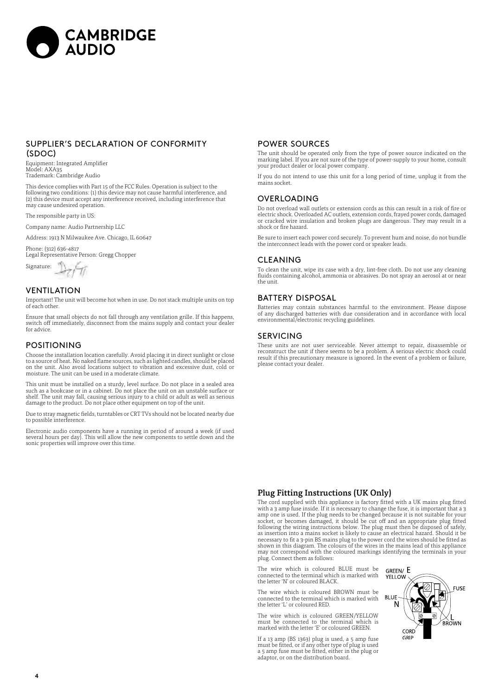

#### SUPPLIER'S DECLARATION OF CONFORMITY (SDOC)

Equipment: Integrated Amplifier Model: AXA35 Trademark: Cambridge Audio

This device complies with Part 15 of the FCC Rules. Operation is subject to the following two conditions: (1) this device may not cause harmful interference, and (2) this device must accept any interference received, including interference that may cause undesired operation.

The responsible party in US:

Company name: Audio Partnership LLC

Address: 1913 N Milwaukee Ave. Chicago, IL 60647

Phone: (312) 636-4817 Legal Representative Person: Gregg Chopper

 $\frac{1}{\sqrt{2}}\sum_{i=1}^{n}$  Signature:

#### VENTILATION

Important! The unit will become hot when in use. Do not stack multiple units on top of each other.

Ensure that small objects do not fall through any ventilation grille. If this happens, switch off immediately, disconnect from the mains supply and contact your dealer for advice.

#### POSITIONING

Choose the installation location carefully. Avoid placing it in direct sunlight or close to a source of heat. No naked flame sources, such as lighted candles, should be placed on the unit. Also avoid locations subject to vibration and excessive dust, cold or moisture. The unit can be used in a moderate climate.

This unit must be installed on a sturdy, level surface. Do not place in a sealed area such as a bookcase or in a cabinet. Do not place the unit on an unstable surface or shelf. The unit may fall, causing serious injury to a child or adult as well as serious damage to the product. Do not place other equipment on top of the unit.

Due to stray magnetic fields, turntables or CRT TVs should not be located nearby due to possible interference.

Electronic audio components have a running in period of around a week (if used several hours per day). This will allow the new components to settle down and the sonic properties will improve over this time.

#### POWER SOURCES

The unit should be operated only from the type of power source indicated on the marking label. If you are not sure of the type of power-supply to your home, consult your product dealer or local power company.

If you do not intend to use this unit for a long period of time, unplug it from the mains socket.

#### OVERLOADING

Do not overload wall outlets or extension cords as this can result in a risk of fire or electric shock. Overloaded AC outlets, extension cords, frayed power cords, damaged or cracked wire insulation and broken plugs are dangerous. They may result in a shock or fire hazard.

Be sure to insert each power cord securely. To prevent hum and noise, do not bundle the interconnect leads with the power cord or speaker leads.

#### **CLEANING**

To clean the unit, wipe its case with a dry, lint-free cloth. Do not use any cleaning fluids containing alcohol, ammonia or abrasives. Do not spray an aerosol at or near the unit.

#### BATTERY DISPOSAL

Batteries may contain substances harmful to the environment. Please dispose of any discharged batteries with due consideration and in accordance with local environmental/electronic recycling guidelines.

#### SERVICING

These units are not user serviceable. Never attempt to repair, disassemble or reconstruct the unit if there seems to be a problem. A serious electric shock could result if this precautionary measure is ignored. In the event of a problem or failure, please contact your dealer.

#### Plug Fitting Instructions (UK Only)

The cord supplied with this appliance is factory fitted with a UK mains plug fitted<br>with a 3 amp fuse inside. If it is necessary to change the fuse, it is important that a 3<br>amp one is used. If the plug needs to be changed socket, or becomes damaged, it should be cut off and an appropriate plug fitted<br>following the wiring instructions below. The plug must then be disposed of safely,<br>as insertion into a mains socket is likely to cause an elec necessary to fit a 3-pin BS mains plug to the power cord the wires should be fitted as shown in this diagram. The colours of the wires in the mains lead of this appliance may not correspond with the coloured markings identifying the terminals in your plug. Connect them as follows:

The wire which is coloured BLUE must be connected to the terminal which is marked with the letter 'N' or coloured BLACK.

The wire which is coloured BROWN must be connected to the terminal which is marked with the letter 'L' or coloured RED.

The wire which is coloured GREEN/YELLOW must be connected to the terminal which is marked with the letter 'E' or coloured GREEN.

If a 13 amp (BS 1363) plug is used, a 5 amp fuse must be fitted, or if any other type of plug is used a 5 amp fuse must be fitted, either in the plug or adaptor, or on the distribution board.

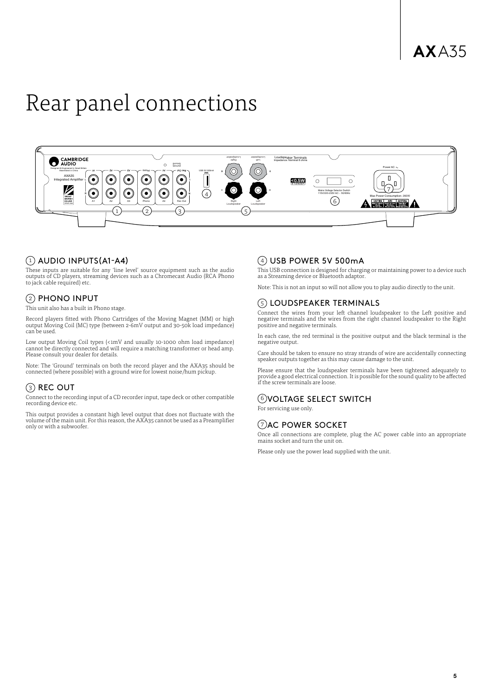# <span id="page-4-0"></span>Rear panel connections



#### $(1)$  AUDIO INPUTS(A1-A4)

These inputs are suitable for any 'line level' source equipment such as the audio outputs of CD players, streaming devices such as a Chromecast Audio (RCA Phono to jack cable required) etc.

#### $(2)$  PHONO INPUT

This unit also has a built in Phono stage.

Record players fitted with Phono Cartridges of the Moving Magnet (MM) or high output Moving Coil (MC) type (between 2-6mV output and 30-50k load impedance) can be used.

Low output Moving Coil types (<1mV and usually 10-1000 ohm load impedance) cannot be directly connected and will require a matching transformer or head amp. Please consult your dealer for details.

Note: The 'Ground' terminals on both the record player and the AXA35 should be connected (where possible) with a ground wire for lowest noise/hum pickup.

#### 3 REC OUT

Connect to the recording input of a CD recorder input, tape deck or other compatible recording device etc.

This output provides a constant high level output that does not fluctuate with the volume of the main unit. For this reason, the AXA35 cannot be used as a Preamplifier only or with a subwoofer.

#### $(4)$  USB POWER 5V 500mA

This USB connection is designed for charging or maintaining power to a device such as a Streaming device or Bluetooth adaptor.

Note: This is not an input so will not allow you to play audio directly to the unit.

#### 5 LOUDSPEAKER TERMINALS

Connect the wires from your left channel loudspeaker to the Left positive and negative terminals and the wires from the right channel loudspeaker to the Right positive and negative terminals.

In each case, the red terminal is the positive output and the black terminal is the negative output.

Care should be taken to ensure no stray strands of wire are accidentally connecting speaker outputs together as this may cause damage to the unit.

Please ensure that the loudspeaker terminals have been tightened adequately to provide a good electrical connection. It is possible for the sound quality to be affected if the screw terminals are loose.

#### 6 VOLTAGE SELECT SWITCH

For servicing use only.

#### (7) AC POWER SOCKET

Once all connections are complete, plug the AC power cable into an appropriate mains socket and turn the unit on.

Please only use the power lead supplied with the unit.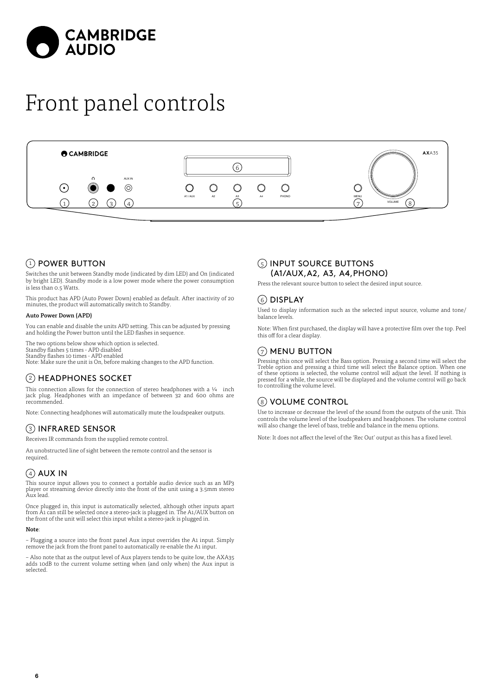<span id="page-5-0"></span>

# Front panel controls



#### $(1)$  POWER BUTTON

Switches the unit between Standby mode (indicated by dim LED) and On (indicated by bright LED). Standby mode is a low power mode where the power consumption is less than 0.5 Watts.

This product has APD (Auto Power Down) enabled as default. After inactivity of 20 minutes, the product will automatically switch to Standby.

#### Auto Power Down (APD)

You can enable and disable the units APD setting. This can be adjusted by pressing and holding the Power button until the LED flashes in sequence.

The two options below show which option is selected. Standby flashes 5 times - APD disabled Standby flashes 10 times - APD enabled Note: Make sure the unit is On, before making changes to the APD function.

#### 2 HEADPHONES SOCKET

This connection allows for the connection of stereo headphones with a  $\frac{1}{4}$  inch jack plug. Headphones with an impedance of between 32 and 600 ohms are recommended.

Note: Connecting headphones will automatically mute the loudspeaker outputs.

#### 3 INFRARED SENSOR

Receives IR commands from the supplied remote control.

An unobstructed line of sight between the remote control and the sensor is required.

### $(4)$  AUX IN

This source input allows you to connect a portable audio device such as an MP3 player or streaming device directly into the front of the unit using a 3.5mm stereo Aux lead.

Once plugged in, this input is automatically selected, although other inputs apart from A1 can still be selected once a stereo-jack is plugged in. The A1/AUX button on the front of the unit will select this input whilst a stereo-jack is plugged in.

#### Note:

– Plugging a source into the front panel Aux input overrides the A1 input. Simply remove the jack from the front panel to automatically re-enable the A1 input.

– Also note that as the output level of Aux players tends to be quite low, the AXA35 adds 10dB to the current volume setting when (and only when) the Aux input is selected.

#### 5 INPUT SOURCE BUTTONS (A1/AUX,A2, A3, A4,PHONO)

Press the relevant source button to select the desired input source.

#### 6 DISPLAY

Used to display information such as the selected input source, volume and tone/ balance levels.

Note: When first purchased, the display will have a protective film over the top. Peel this off for a clear display.

#### $(7)$  MENU BUTTON

Pressing this once will select the Bass option. Pressing a second time will select the<br>Treble option and pressing a third time will select the Balance option. When one<br>of these options is selected, the volume control will pressed for a while, the source will be displayed and the volume control will go back to controlling the volume level.

#### 8) VOLUME CONTROL

Use to increase or decrease the level of the sound from the outputs of the unit. This controls the volume level of the loudspeakers and headphones. The volume control will also change the level of bass, treble and balance in the menu options.

Note: It does not affect the level of the 'Rec Out' output as this has a fixed level.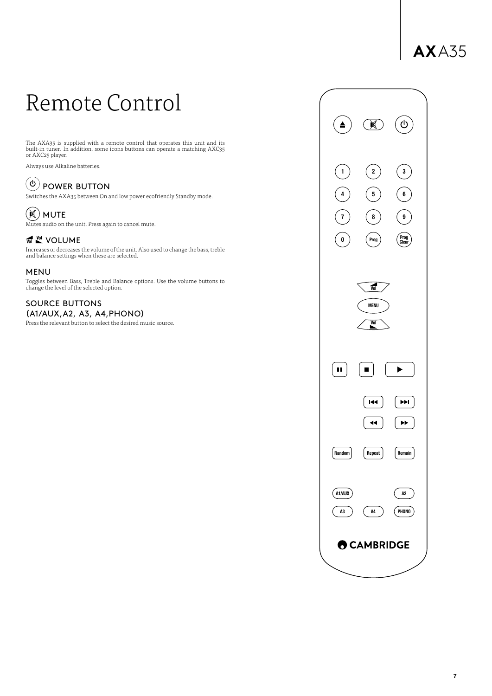### **AX**A35

## <span id="page-6-0"></span>Remote Control

The AXA35 is supplied with a remote control that operates this unit and its built-in tuner. In addition, some icons buttons can operate a matching AXC35 or AXC25 player.

Always use Alkaline batteries.

### $\overset{\text{\tiny{(b)}}}{\circlearrowright}$  POWER BUTTON

Switches the AXA35 between On and low power ecofriendly Standby mode.



Mutes audio on the unit. Press again to cancel mute.

#### **W** VOLUME

Increases or decreases the volume of the unit. Also used to change the bass, treble and balance settings when these are selected.

#### MENU

Toggles between Bass, Treble and Balance options. Use the volume buttons to change the level of the selected option.

#### SOURCE BUTTONS (A1/AUX,A2, A3, A4,PHONO)

Press the relevant button to select the desired music source.

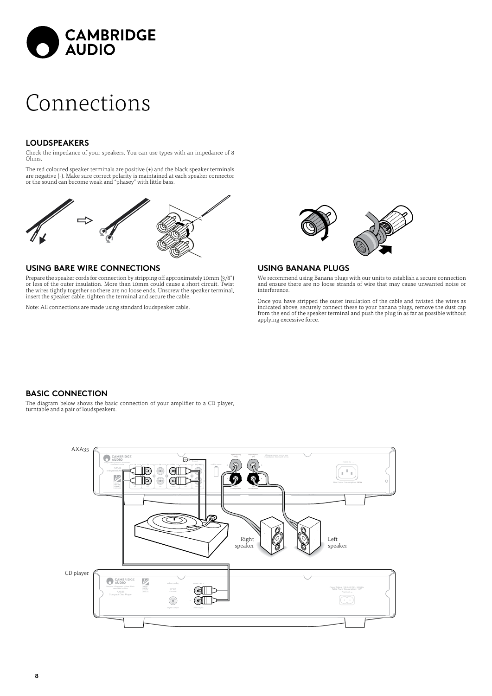<span id="page-7-0"></span>

### Connections

#### **LOUDSPEAKERS**

Check the impedance of your speakers. You can use types with an impedance of 8 Ohms.

The red coloured speaker terminals are positive (+) and the black speaker terminals are negative (-). Make sure correct polarity is maintained at each speaker connector or the sound can become weak and "phasey" with little bass.



#### **USING BARE WIRE CONNECTIONS**

Prepare the speaker cords for connection by stripping off approximately 10mm (3/8") or less of the outer insulation. More than 10mm could cause a short circuit. Twist the wires tightly together so there are no loose ends. Unscrew the speaker terminal, insert the speaker cable, tighten the terminal and secure the cable.

Note: All connections are made using standard loudspeaker cable.



#### **USING BANANA PLUGS**

We recommend using Banana plugs with our units to establish a secure connection and ensure there are no loose strands of wire that may cause unwanted noise or interference.

Once you have stripped the outer insulation of the cable and twisted the wires as indicated above, securely connect these to your banana plugs, remove the dust cap from the end of the speaker terminal and push the plug in as far as possible without applying excessive force.

#### **BASIC CONNECTION**

The diagram below shows the basic connection of your amplifier to a CD player, turntable and a pair of loudspeakers.

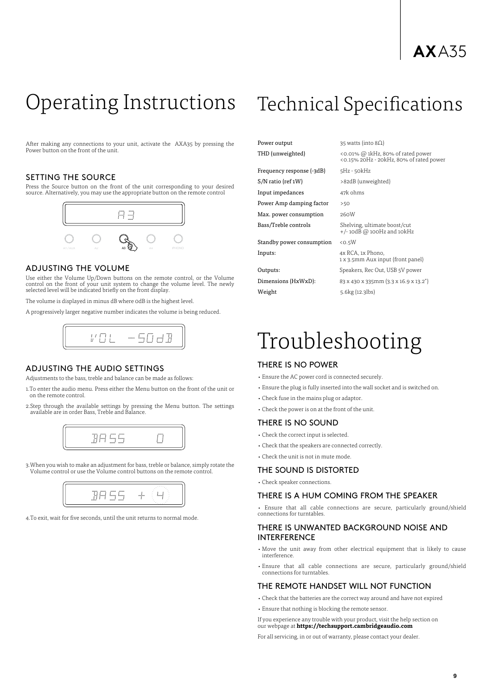### **AX**A35

### <span id="page-8-0"></span>Operating Instructions Technical Specifications

After making any connections to your unit, activate the AXA35 by pressing the Power button on the front of the unit.

#### SETTING THE SOURCE

Press the Source button on the front of the unit corresponding to your desired source. Alternatively, you may use the appropriate button on the remote control



#### ADJUSTING THE VOLUME

Use either the Volume Up/Down buttons on the remote control, or the Volume control on the front of your unit system to change the volume level. The newly selected level will be indicated briefly on the front display.

The volume is displayed in minus dB where 0dB is the highest level

A progressively larger negative number indicates the volume is being reduced.



#### ADJUSTING THE AUDIO SETTINGS

Adjustments to the bass, treble and balance can be made as follows:

- 1.To enter the audio menu. Press either the Menu button on the front of the unit or on the remote control.
- 2.Step through the available settings by pressing the Menu button. The settings available are in order Bass, Treble and Balance.



3.When you wish to make an adjustment for bass, treble or balance, simply rotate the Volume control or use the Volume control buttons on the remote control.



4.To exit, wait for five seconds, until the unit returns to normal mode.

Power output 35 watts (into  $8\Omega$ )

Frequency response (-3dB) 5Hz - 50kHz S/N ratio (ref 1W) >82dB (unweighted) Input impedances 47k ohms Power Amp damping factor >50 Max. power consumption 260W Standby power consumption <0.5W Inputs: 4x RCA, 1x Phono,

Weight 5.6kg (12.3lbs)

THD (unweighted) <0.01% @ 1kHz, 80% of rated power <0.15% 20Hz - 20kHz, 80% of rated power Bass/Treble controls Shelving, ultimate boost/cut +/- 10dB @ 100Hz and 10kHz 1 x 3.5mm Aux input (front panel) Outputs: Speakers, Rec Out, USB 5V power Dimensions (HxWxD): 83 x 430 x 335mm (3.3 x 16.9 x 13.2")

### Troubleshooting

#### THERE IS NO POWER

- Ensure the AC power cord is connected securely.
- Ensure the plug is fully inserted into the wall socket and is switched on.
- Check fuse in the mains plug or adaptor.
- Check the power is on at the front of the unit.

#### THERE IS NO SOUND

- Check the correct input is selected.
- Check that the speakers are connected correctly.
- Check the unit is not in mute mode.

#### THE SOUND IS DISTORTED

• Check speaker connections.

#### THERE IS A HUM COMING FROM THE SPEAKER

• Ensure that all cable connections are secure, particularly ground/shield connections for turntables.

#### THERE IS UNWANTED BACKGROUND NOISE AND INTERFERENCE

- Move the unit away from other electrical equipment that is likely to cause interference.
- Ensure that all cable connections are secure, particularly ground/shield connections for turntables.

#### THE REMOTE HANDSET WILL NOT FUNCTION

• Check that the batteries are the correct way around and have not expired

• Ensure that nothing is blocking the remote sensor.

If you experience any trouble with your product, visit the help section on our webpage at **https://techsupport.cambridgeaudio.com**

For all servicing, in or out of warranty, please contact your dealer.